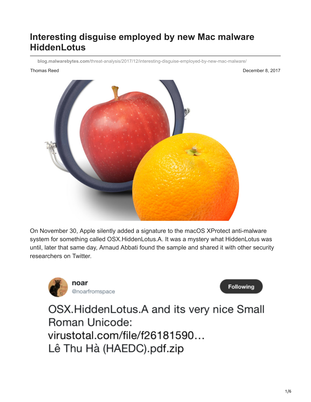## **Interesting disguise employed by new Mac malware HiddenLotus**

**blog.malwarebytes.com**[/threat-analysis/2017/12/interesting-disguise-employed-by-new-mac-malware/](https://blog.malwarebytes.com/threat-analysis/2017/12/interesting-disguise-employed-by-new-mac-malware/)

Thomas Reed **December 8, 2017** 



On November 30, Apple silently added a signature to the macOS XProtect anti-malware system for something called OSX.HiddenLotus.A. It was a mystery what HiddenLotus was until, later that same day, Arnaud Abbati found the sample and shared it with other security researchers on Twitter.





OSX.HiddenLotus.A and its very nice Small Roman Unicode: virustotal.com/file/f26181590... Lê Thu Hà (HAEDC).pdf.zip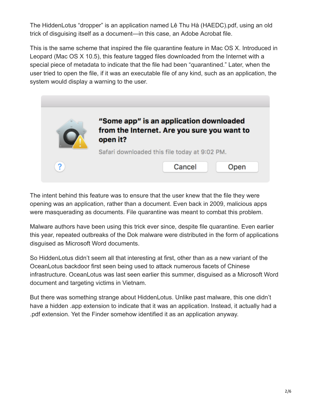The HiddenLotus "dropper" is an application named Lê Thu Hà (HAEDC).pdf, using an old trick of disguising itself as a document—in this case, an Adobe Acrobat file.

This is the same scheme that inspired the file quarantine feature in Mac OS X. Introduced in Leopard (Mac OS X 10.5), this feature tagged files downloaded from the Internet with a special piece of metadata to indicate that the file had been "quarantined." Later, when the user tried to open the file, if it was an executable file of any kind, such as an application, the system would display a warning to the user.



The intent behind this feature was to ensure that the user knew that the file they were opening was an application, rather than a document. Even back in 2009, malicious apps were masquerading as documents. File quarantine was meant to combat this problem.

Malware authors have been using this trick ever since, despite file quarantine. Even earlier this year, repeated outbreaks of the Dok malware were distributed in the form of applications disguised as Microsoft Word documents.

So HiddenLotus didn't seem all that interesting at first, other than as a new variant of the OceanLotus backdoor first seen being used to attack numerous facets of Chinese infrastructure. OceanLotus was last seen earlier this summer, disguised as a Microsoft Word document and targeting victims in Vietnam.

But there was something strange about HiddenLotus. Unlike past malware, this one didn't have a hidden .app extension to indicate that it was an application. Instead, it actually had a .pdf extension. Yet the Finder somehow identified it as an application anyway.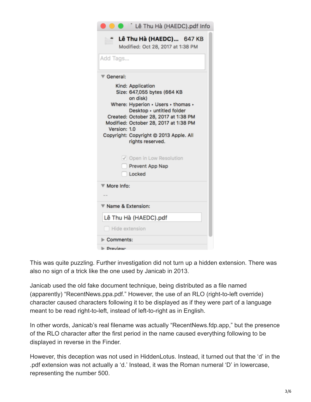| Lê Thu Hà (HAEDC).pdf Info                                                                                                                                                                                                                                                                                                                         |  |  |  |  |
|----------------------------------------------------------------------------------------------------------------------------------------------------------------------------------------------------------------------------------------------------------------------------------------------------------------------------------------------------|--|--|--|--|
| Lê Thu Hà (HAEDC) 647 KB<br>Modified: Oct 28, 2017 at 1:38 PM                                                                                                                                                                                                                                                                                      |  |  |  |  |
| Add Tags                                                                                                                                                                                                                                                                                                                                           |  |  |  |  |
| $\overline{\mathbf{v}}$ General:                                                                                                                                                                                                                                                                                                                   |  |  |  |  |
| Kind: Application<br>Size: 647,055 bytes (664 KB<br>on disk)<br>Where: Hyperion > Users > thomas ><br>Desktop · untitled folder<br>Created: October 28, 2017 at 1:38 PM<br>Modified: October 28, 2017 at 1:38 PM<br>Version: 1.0<br>Copyright: Copyright @ 2013 Apple. All<br>rights reserved.<br>Open in Low Resolution<br><b>Prevent App Nap</b> |  |  |  |  |
| Locked                                                                                                                                                                                                                                                                                                                                             |  |  |  |  |
| More Info:                                                                                                                                                                                                                                                                                                                                         |  |  |  |  |
| Name & Extension:                                                                                                                                                                                                                                                                                                                                  |  |  |  |  |
| Lê Thu Hà (HAEDC).pdf                                                                                                                                                                                                                                                                                                                              |  |  |  |  |
| Hide extension                                                                                                                                                                                                                                                                                                                                     |  |  |  |  |
| Comments:                                                                                                                                                                                                                                                                                                                                          |  |  |  |  |
| $\blacktriangleright$ Proview                                                                                                                                                                                                                                                                                                                      |  |  |  |  |

This was quite puzzling. Further investigation did not turn up a hidden extension. There was also no sign of a trick like the one used by Janicab in 2013.

Janicab used the old fake document technique, being distributed as a file named (apparently) "RecentNews.ppa.pdf." However, the use of an RLO (right-to-left override) character caused characters following it to be displayed as if they were part of a language meant to be read right-to-left, instead of left-to-right as in English.

In other words, Janicab's real filename was actually "RecentNews.fdp.app," but the presence of the RLO character after the first period in the name caused everything following to be displayed in reverse in the Finder.

However, this deception was not used in HiddenLotus. Instead, it turned out that the 'd' in the .pdf extension was not actually a 'd.' Instead, it was the Roman numeral 'D' in lowercase, representing the number 500.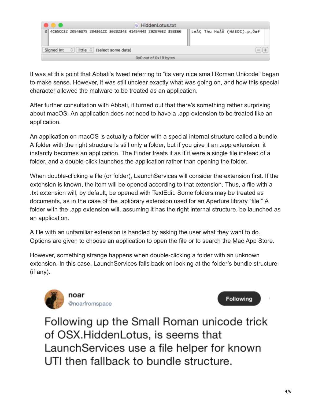| .                     | M HiddenLotus.txt                                                   |                              |  |
|-----------------------|---------------------------------------------------------------------|------------------------------|--|
|                       | 0 4C65CC82 20546875 204861CC 80202848 41454443 292E70E2 85BE66      | LeAC Thu HaAA (HAEDC).p, Oaf |  |
|                       | Signed Int $\circ$ $\circ$ $\circ$ ittle $\circ$ (select some data) |                              |  |
| OxO out of Ox1B bytes |                                                                     |                              |  |

It was at this point that Abbati's tweet referring to "its very nice small Roman Unicode" began to make sense. However, it was still unclear exactly what was going on, and how this special character allowed the malware to be treated as an application.

After further consultation with Abbati, it turned out that there's something rather surprising about macOS: An application does not need to have a .app extension to be treated like an application.

An application on macOS is actually a folder with a special internal structure called a bundle. A folder with the right structure is still only a folder, but if you give it an .app extension, it instantly becomes an application. The Finder treats it as if it were a single file instead of a folder, and a double-click launches the application rather than opening the folder.

When double-clicking a file (or folder), LaunchServices will consider the extension first. If the extension is known, the item will be opened according to that extension. Thus, a file with a .txt extension will, by default, be opened with TextEdit. Some folders may be treated as documents, as in the case of the .aplibrary extension used for an Aperture library "file." A folder with the .app extension will, assuming it has the right internal structure, be launched as an application.

A file with an unfamiliar extension is handled by asking the user what they want to do. Options are given to choose an application to open the file or to search the Mac App Store.

However, something strange happens when double-clicking a folder with an unknown extension. In this case, LaunchServices falls back on looking at the folder's bundle structure (if any).





Following up the Small Roman unicode trick of OSX. Hidden Lotus, is seems that LaunchServices use a file helper for known UTI then fallback to bundle structure.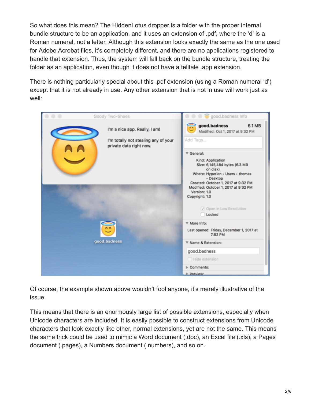So what does this mean? The HiddenLotus dropper is a folder with the proper internal bundle structure to be an application, and it uses an extension of .pdf, where the 'd' is a Roman numeral, not a letter. Although this extension looks exactly the same as the one used for Adobe Acrobat files, it's completely different, and there are no applications registered to handle that extension. Thus, the system will fall back on the bundle structure, treating the folder as an application, even though it does not have a telltale .app extension.

There is nothing particularly special about this .pdf extension (using a Roman numeral 'd') except that it is not already in use. Any other extension that is not in use will work just as well:

| Goody Two-Shoes                                                                                  | good.badness Info                                                                                                                                                                                                                |
|--------------------------------------------------------------------------------------------------|----------------------------------------------------------------------------------------------------------------------------------------------------------------------------------------------------------------------------------|
| I'm a nice app. Really, I am!<br>I'm totally not stealing any of your<br>private data right now. | good.badness<br>6.1 MB<br>AA<br>Modified: Oct 1, 2017 at 9:32 PM<br>Add Tags                                                                                                                                                     |
|                                                                                                  | <b>▼ General:</b>                                                                                                                                                                                                                |
|                                                                                                  | Kind: Application<br>Size: 6,145,484 bytes (6.3 MB<br>on disk)<br>Where: Hyperion > Users > thomas<br>· Desktop<br>Created: October 1, 2017 at 9:32 PM<br>Modified: October 1, 2017 at 9:32 PM<br>Version: 1.0<br>Copyright: 1.0 |
|                                                                                                  | √ Open in Low Resolution<br>Locked                                                                                                                                                                                               |
|                                                                                                  | ▼ More Info:                                                                                                                                                                                                                     |
|                                                                                                  | Last opened: Friday, December 1, 2017 at<br>7:52 PM                                                                                                                                                                              |
| good.badness                                                                                     | ▼ Name & Extension:                                                                                                                                                                                                              |
|                                                                                                  | good.badness                                                                                                                                                                                                                     |
|                                                                                                  | Hide extension                                                                                                                                                                                                                   |
|                                                                                                  | Comments:                                                                                                                                                                                                                        |
|                                                                                                  | <b>I</b> - Preview-                                                                                                                                                                                                              |

Of course, the example shown above wouldn't fool anyone, it's merely illustrative of the issue.

This means that there is an enormously large list of possible extensions, especially when Unicode characters are included. It is easily possible to construct extensions from Unicode characters that look exactly like other, normal extensions, yet are not the same. This means the same trick could be used to mimic a Word document (.doc), an Excel file (.xls), a Pages document (.pages), a Numbers document (.numbers), and so on.